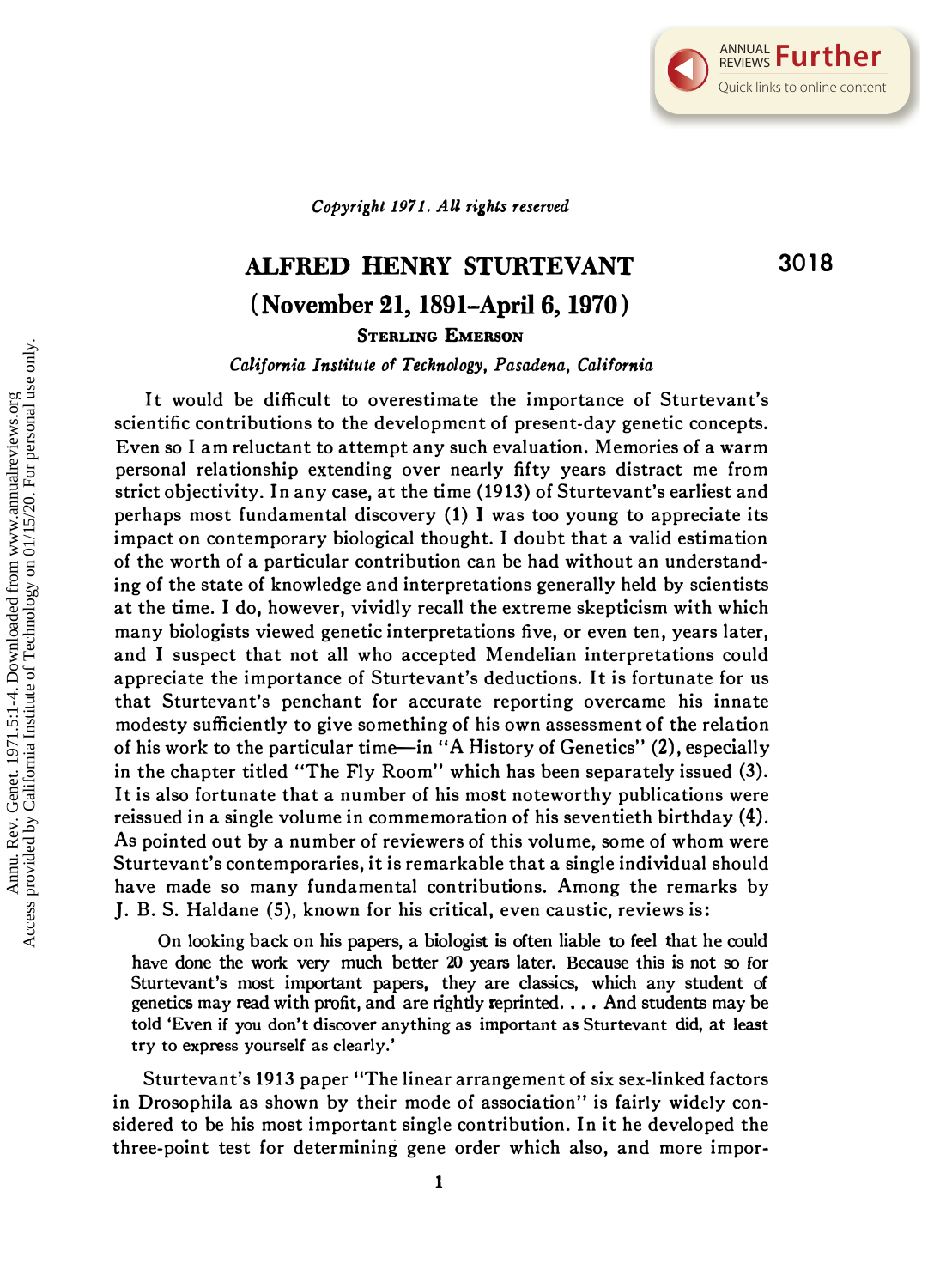3018

Copyright 1971. All rights reserved

## ALFRED HENRY STURTEVANT (November 21, 1891–April 6, 1970) STERLING EMERSON

California Institute of Technology, Pasadena, California

It would be difficult to overestimate the importance of Sturtevant's scientific contributions to the development of present-day genetic concepts. Even so I am reluctant to attempt any such evaluation. Memories of a warm personal relationship extending over nearly fifty years distract me from strict objectivity. In any case, at the time (1913) of Sturtevant's earliest and perhaps most fundamental discovery (1) I was too young to appreciate its impact on contemporary biological thought. I doubt that a valid estimation of the worth of a particular contribution can be had without an understanding of the state of knowledge and interpretations generally held by scientists at the time. I do, however, vividly recall the extreme skepticism with which many biologists viewed genetic interpretations five, or even ten, years later, and I suspect that not all who accepted Mendelian interpretations could appreciate the importance of Sturtevant's deductions. It is fortunate for us that Sturtevant's penchant for accurate reporting overcame his innate modesty sufficiently to give something of his own assessment of the relation of his work to the particular time-in "A History of Genetics" (2), especially in the chapter titled "The Fly Room" which has been separately issued (3). It is also fortunate that a number of his most noteworthy publications were reissued in a single volume in commemoration of his seventieth birthday (4). As pointed out by a number of reviewers of this volume, some of whom were Sturtevant's contemporaries, it is remarkable that a single individual should have made so many fundamental contributions. Among the remarks by J. B. S. Haldane (5), known for his critical, even caustic, reviews is:

On looking back on his papers, a biologist is often liable to feel that he could have done the work very much better 20 years later. Because this is not so for Sturtevant's most important papers, they are classics, which any student of genetics may read with profit, and are rightly reprinted. . . . And students may be told 'Even if you don't discover anything as important as Sturtevant did, at least try to express yourself as clearly.'

Sturtevant's 1913 paper "The linear arrangement of six sex-linked factors in Drosophila as shown by their mode of association" is fairly widely considered to be his most important single contribution. In it he developed the three-point test for determining gene order which also, and more impor-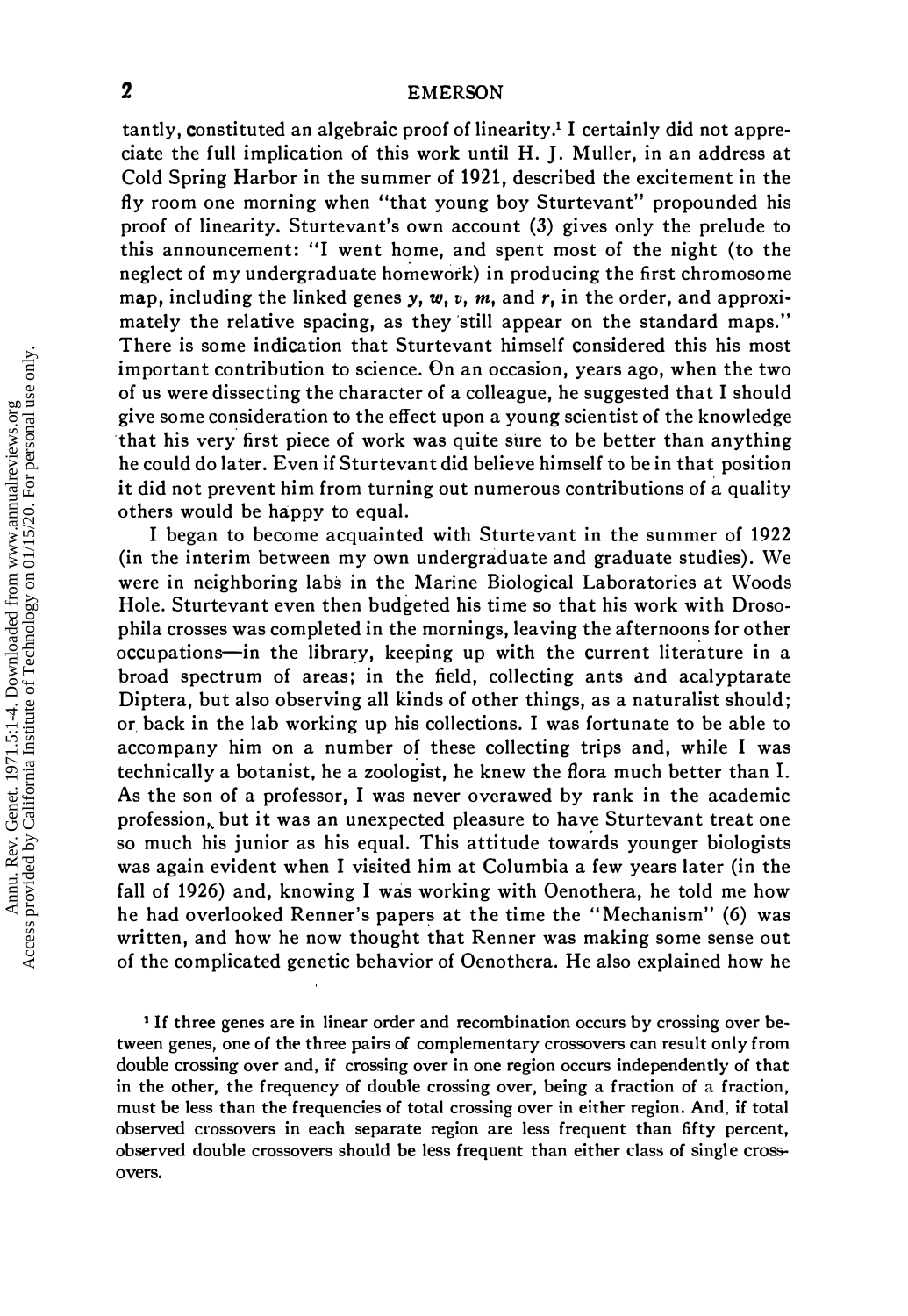## 2 EMERSON

tantly, constituted an algebraic proof of linearity.<sup>1</sup> I certainly did not appreciate the full implication of this work until H. J. Muller, in an address at Cold Spring Harbor in the summer of 1921, described the excitement in the fly room one morning when "that young boy Sturtevant" propounded his proof of linearity. Sturtevant's own account (3) gives only the prelude to this announcement: "I went home, and spent most of the night (to the neglect of my undergraduate homework) in producing the first chromosome map, including the linked genes  $y, w, v, m$ , and  $r$ , in the order, and approximately the relative spacing, as they 'still appear on the standard maps." There is some indication that Sturtevant himself considered this his most important contribution to science. On an occasion, years ago, when the two of us were dissecting the character of a colleague, he suggested that I should give some consideration to the effect upon a young scientist of the knowledge that his very first piece of work was quite sure to be better than anything he could do later. Even if Sturtevant did believe himself to be in that position it did not prevent him from turning out numerous contributions of a quality others would be happy to equal.

I began to become acquainted with Sturtevant in the summer of 1922 (in the interim between my own undergraduate and graduate studies). We were in neighboring labs in the Marine Biological Laboratories at Woods Hole. Sturtevant even then budgeted his time so that his work with Drosophila crosses was completed in the mornings, leaving the afternoons for other occupations-in the library, keeping up with the current literature in a broad spectrum of areas; in the field, collecting ants and acalyptarate Diptera, but also observing all kinds of other things, as a naturalist should; or, back in the lab working up his collections. I was fortunate to be able to accompany him on a number of these collecting trips and, while I was technically a botanist, he a zoologist, he knew the flora much better than I. As the son of a professor, I was never overawed by rank in the academic profession, but it was an unexpected pleasure to have Sturtevant treat one so much his junior as his equal. This attitude towards younger biologists was again evident when I visited him at Columbia a few years later (in the fall of 1926) and, knowing I was working with Oenothera, he told me how he had overlooked Renner's papers at the time the "Mechanism" (6) was written, and how he now thought that Renner was making some sense out of the complicated genetic behavior of Oenothera. He also explained how he

1 If three genes are in linear order and recombination occurs by crossing over between genes, one of the three pairs of complementary crossovers can result only from double crossing over and, if crossing over in one region occurs independently of that in the other, the frequency of double crossing over, being a fraction of a fraction, must be less than the frequencies of total crossing over in either region. And, if total observed crossovers in each separate region are less frequent than fifty percent, observed double crossovers should be less frequent than either class of single crossovers.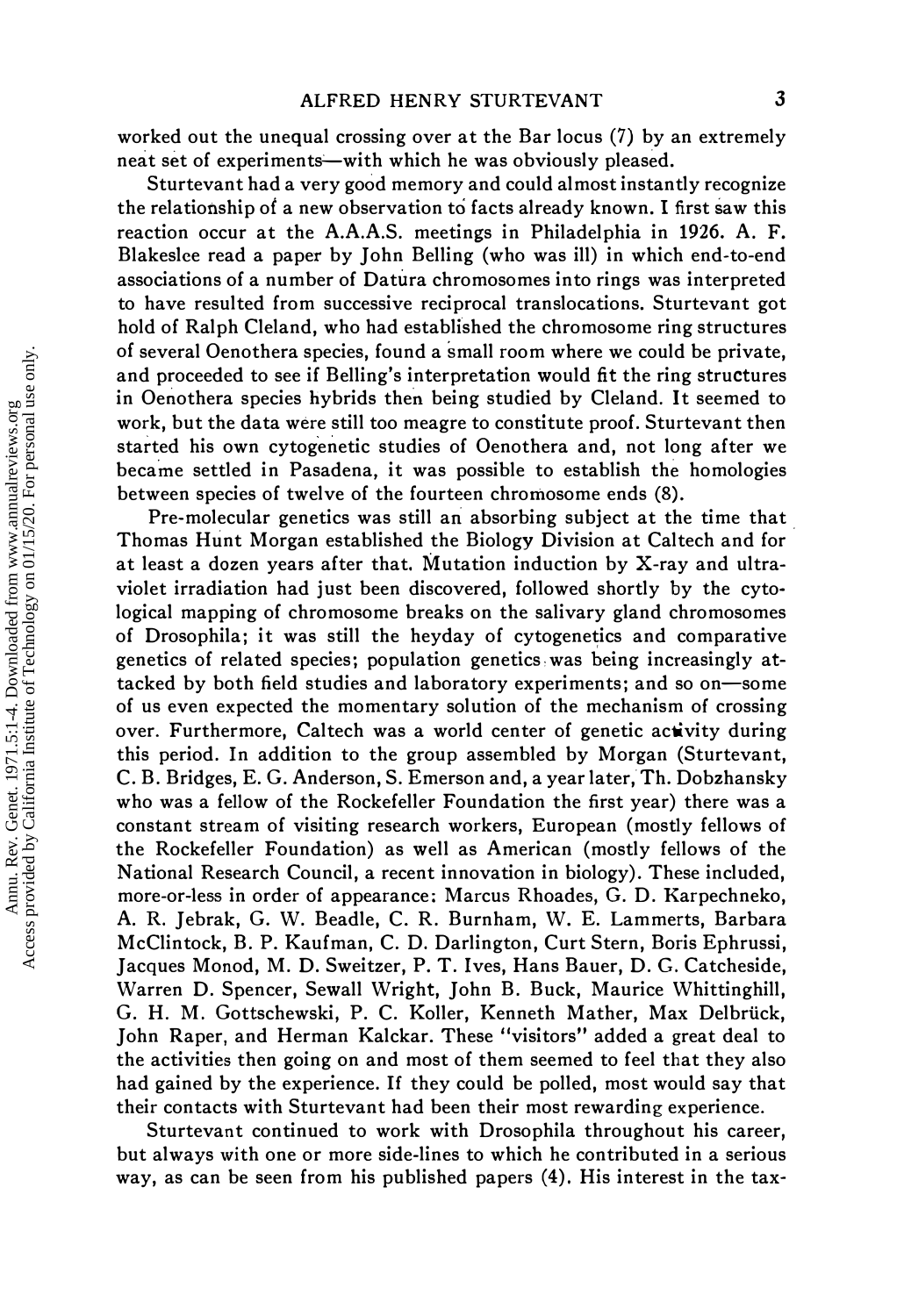worked out the unequal crossing over at the Bar locus (7) by an extremely neat set of experiments—with which he was obviously pleased.

Sturtevant had a very good memory and could almost instantly recognize the relationship of a new observation to facts already known. I first saw this reaction occur at the A.A.A.S. meetings in Philadelphia in 1926. A. F. Blakeslee read a paper by John Belling (who was ill) in which end-to-end associations of a number of Datura chromosomes into rings was interpreted to have resulted from successive reciprocal translocations. Sturtevant got hold of Ralph Cleland, who had established the chromosome ring structures of several Oenothera species, found a small room where we could be private, and proceeded to see if Belling's interpretation would fit the ring structures in Oenothera species hybrids then being studied by Cleland. It seemed to work, but the data were still too meagre to constitute proof. Sturtevant then started his own cytogenetic studies of Oenothera and, not long after we became settled in Pasadena, it was possible to establish the homologies between species of twelve of the fourteen chromosome ends (8).

Pre-molecular genetics was still an absorbing subject at the time that. Thomas Hunt Morgan established the Biology Division at Caltech and for at least a dozen years after that. Mutation induction by X-ray and ultraviolet irradiation had just been discovered, followed shortly by the cytological mapping of chromosome breaks on the salivary gland chromosomes of Drosophila; it was still the heyday of cytogenetics and comparative genetics of related species; population genetics,was being increasingly attacked by both field studies and laboratory experiments; and so on-some of us even expected the momentary solution of the mechanism of crossing over. Furthermore, Caltech was a world center of genetic activity during this period. In addition to the group assembled by Morgan (Sturtevant, C. B. Bridges, E. G. Anderson, S. Emerson and, a year later,Th. Dobzhansky who was a fellow of the Rockefeller Foundation the first year) there was a constant stream of visiting research workers, European (mostly fellows of the Rockefeller Foundation) as well as American (mostly fellows of the National Research Council, a recent innovation in biology). These included, more-or-Iess in order of appearance; Marcus Rhoades, G. D. Karpechneko, A. R. Jebrak, G. W. Beadle, C. R. Burnham, W. E. Lammerts, Barbara McClintock, B. P. Kaufman, C. D. Darlington, Curt Stern, Boris Ephrussi, Jacques Monod, M. D. Sweitzer, P. T. Ives, Hans Bauer, D. G. Catcheside, Warren D. Spencer, Sewall Wright, John B. Buck, Maurice Whittinghill, G. H. M. Gottschewski, P. C. Koller, Kenneth Mather, Max Delbriick, John Raper, and Herman Kalckar. These "visitors" added a great deal to the activities then going on and most of them seemed to feel that they also had gained by the experience. If they could be polled, most would say that their contacts with Sturtevant had been their most rewarding experience.

Sturtevant continued to work with Drosophila throughout his career, but always with one or more side-lines to which he contributed in a serious way, as can be seen from his published papers (4). His interest in the tax